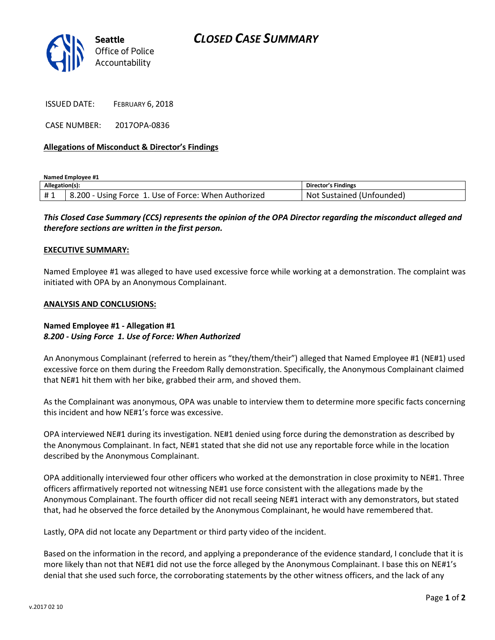# *CLOSED CASE SUMMARY*



ISSUED DATE: FEBRUARY 6, 2018

CASE NUMBER: 2017OPA-0836

### **Allegations of Misconduct & Director's Findings**

**Named Employee #1**

| Allegation(s): |                                                      | Director's Findings            |
|----------------|------------------------------------------------------|--------------------------------|
| #1             | 8.200 - Using Force 1. Use of Force: When Authorized | Not<br>: Sustained (Unfounded) |

## *This Closed Case Summary (CCS) represents the opinion of the OPA Director regarding the misconduct alleged and therefore sections are written in the first person.*

#### **EXECUTIVE SUMMARY:**

Named Employee #1 was alleged to have used excessive force while working at a demonstration. The complaint was initiated with OPA by an Anonymous Complainant.

### **ANALYSIS AND CONCLUSIONS:**

## **Named Employee #1 - Allegation #1** *8.200 - Using Force 1. Use of Force: When Authorized*

An Anonymous Complainant (referred to herein as "they/them/their") alleged that Named Employee #1 (NE#1) used excessive force on them during the Freedom Rally demonstration. Specifically, the Anonymous Complainant claimed that NE#1 hit them with her bike, grabbed their arm, and shoved them.

As the Complainant was anonymous, OPA was unable to interview them to determine more specific facts concerning this incident and how NE#1's force was excessive.

OPA interviewed NE#1 during its investigation. NE#1 denied using force during the demonstration as described by the Anonymous Complainant. In fact, NE#1 stated that she did not use any reportable force while in the location described by the Anonymous Complainant.

OPA additionally interviewed four other officers who worked at the demonstration in close proximity to NE#1. Three officers affirmatively reported not witnessing NE#1 use force consistent with the allegations made by the Anonymous Complainant. The fourth officer did not recall seeing NE#1 interact with any demonstrators, but stated that, had he observed the force detailed by the Anonymous Complainant, he would have remembered that.

Lastly, OPA did not locate any Department or third party video of the incident.

Based on the information in the record, and applying a preponderance of the evidence standard, I conclude that it is more likely than not that NE#1 did not use the force alleged by the Anonymous Complainant. I base this on NE#1's denial that she used such force, the corroborating statements by the other witness officers, and the lack of any